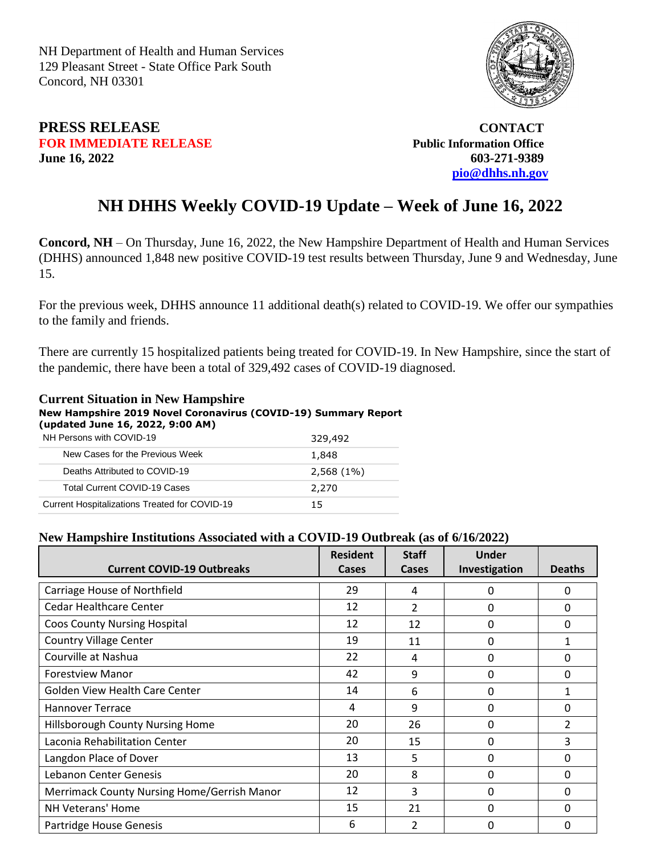NH Department of Health and Human Services 129 Pleasant Street - State Office Park South Concord, NH 03301



## **PRESS RELEASE CONTACT FOR IMMEDIATE RELEASE** *Public Information Office* **June 16, 2022 603-271-9389**

**[pio@dhhs.nh.gov](file:///C:/Users/laura.m.montenegro/Desktop/COVID%2019%20Daily%20Press%20Releases/pio@dhhs.nh.gov)**

## **NH DHHS Weekly COVID-19 Update – Week of June 16, 2022**

**Concord, NH** – On Thursday, June 16, 2022, the New Hampshire Department of Health and Human Services (DHHS) announced 1,848 new positive COVID-19 test results between Thursday, June 9 and Wednesday, June 15.

For the previous week, DHHS announce 11 additional death(s) related to COVID-19. We offer our sympathies to the family and friends.

There are currently 15 hospitalized patients being treated for COVID-19. In New Hampshire, since the start of the pandemic, there have been a total of 329,492 cases of COVID-19 diagnosed.

## **Current Situation in New Hampshire New Hampshire 2019 Novel Coronavirus (COVID-19) Summary Report (updated June 16, 2022, 9:00 AM)**

| NH Persons with COVID-19                      | 329,492      |
|-----------------------------------------------|--------------|
| New Cases for the Previous Week               | 1,848        |
| Deaths Attributed to COVID-19                 | $2,568(1\%)$ |
| <b>Total Current COVID-19 Cases</b>           | 2,270        |
| Current Hospitalizations Treated for COVID-19 | 15           |

## **New Hampshire Institutions Associated with a COVID-19 Outbreak (as of 6/16/2022)**

| <b>Current COVID-19 Outbreaks</b>           | <b>Resident</b><br>Cases | <b>Staff</b><br>Cases | <b>Under</b><br>Investigation | <b>Deaths</b>  |
|---------------------------------------------|--------------------------|-----------------------|-------------------------------|----------------|
| Carriage House of Northfield                | 29                       | 4                     | 0                             | $\mathbf{0}$   |
| Cedar Healthcare Center                     | 12                       | $\overline{2}$        | 0                             | 0              |
| <b>Coos County Nursing Hospital</b>         | 12                       | 12                    | 0                             | 0              |
| <b>Country Village Center</b>               | 19                       | 11                    | 0                             | $\mathbf{1}$   |
| Courville at Nashua                         | 22                       | 4                     | 0                             | 0              |
| <b>Forestview Manor</b>                     | 42                       | 9                     | 0                             | 0              |
| <b>Golden View Health Care Center</b>       | 14                       | 6                     | 0                             | 1              |
| <b>Hannover Terrace</b>                     | 4                        | 9                     | 0                             | $\Omega$       |
| Hillsborough County Nursing Home            | 20                       | 26                    | 0                             | $\overline{2}$ |
| Laconia Rehabilitation Center               | 20                       | 15                    | 0                             | 3              |
| Langdon Place of Dover                      | 13                       | 5                     | 0                             | 0              |
| Lebanon Center Genesis                      | 20                       | 8                     | 0                             | 0              |
| Merrimack County Nursing Home/Gerrish Manor | 12                       | 3                     | 0                             | 0              |
| NH Veterans' Home                           | 15                       | 21                    | 0                             | 0              |
| Partridge House Genesis                     | 6                        | $\mathfrak z$         | 0                             | 0              |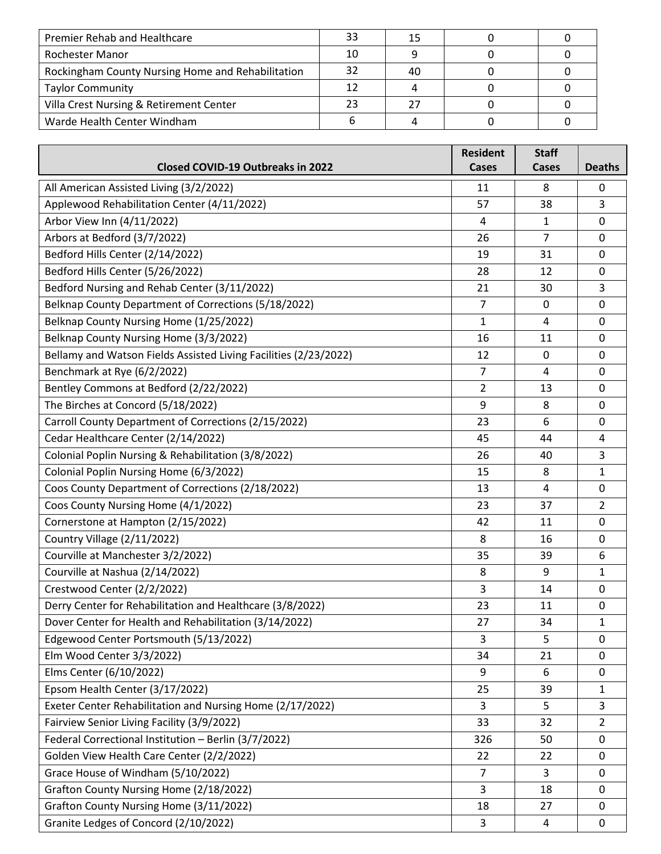| Premier Rehab and Healthcare                      | 33 | 15 |  |
|---------------------------------------------------|----|----|--|
| Rochester Manor                                   | 10 |    |  |
| Rockingham County Nursing Home and Rehabilitation | 32 | 40 |  |
| <b>Taylor Community</b>                           | 12 |    |  |
| Villa Crest Nursing & Retirement Center           | 23 |    |  |
| Warde Health Center Windham                       |    |    |  |

| <b>Closed COVID-19 Outbreaks in 2022</b>                         | <b>Resident</b><br>Cases | <b>Staff</b><br>Cases | <b>Deaths</b>  |
|------------------------------------------------------------------|--------------------------|-----------------------|----------------|
| All American Assisted Living (3/2/2022)                          | 11                       | 8                     | 0              |
| Applewood Rehabilitation Center (4/11/2022)                      | 57                       | 38                    | 3              |
| Arbor View Inn (4/11/2022)                                       | 4                        | 1                     | 0              |
| Arbors at Bedford (3/7/2022)                                     | 26                       | $\overline{7}$        | 0              |
| Bedford Hills Center (2/14/2022)                                 | 19                       | 31                    | 0              |
| Bedford Hills Center (5/26/2022)                                 | 28                       | 12                    | 0              |
| Bedford Nursing and Rehab Center (3/11/2022)                     | 21                       | 30                    | 3              |
| Belknap County Department of Corrections (5/18/2022)             | $\overline{7}$           | 0                     | 0              |
| Belknap County Nursing Home (1/25/2022)                          | $\mathbf{1}$             | 4                     | 0              |
| Belknap County Nursing Home (3/3/2022)                           | 16                       | 11                    | 0              |
| Bellamy and Watson Fields Assisted Living Facilities (2/23/2022) | 12                       | $\mathbf 0$           | $\mathbf 0$    |
| Benchmark at Rye (6/2/2022)                                      | $\overline{7}$           | 4                     | 0              |
| Bentley Commons at Bedford (2/22/2022)                           | $\overline{2}$           | 13                    | 0              |
| The Birches at Concord (5/18/2022)                               | 9                        | 8                     | 0              |
| Carroll County Department of Corrections (2/15/2022)             | 23                       | 6                     | 0              |
| Cedar Healthcare Center (2/14/2022)                              | 45                       | 44                    | 4              |
| Colonial Poplin Nursing & Rehabilitation (3/8/2022)              | 26                       | 40                    | 3              |
| Colonial Poplin Nursing Home (6/3/2022)                          | 15                       | 8                     | 1              |
| Coos County Department of Corrections (2/18/2022)                | 13                       | 4                     | 0              |
| Coos County Nursing Home (4/1/2022)                              | 23                       | 37                    | $\overline{2}$ |
| Cornerstone at Hampton (2/15/2022)                               | 42                       | 11                    | 0              |
| Country Village (2/11/2022)                                      | 8                        | 16                    | 0              |
| Courville at Manchester 3/2/2022)                                | 35                       | 39                    | 6              |
| Courville at Nashua (2/14/2022)                                  | 8                        | 9                     | 1              |
| Crestwood Center (2/2/2022)                                      | 3                        | 14                    | 0              |
| Derry Center for Rehabilitation and Healthcare (3/8/2022)        | 23                       | 11                    | 0              |
| Dover Center for Health and Rehabilitation (3/14/2022)           | 27                       | 34                    | $\mathbf{1}$   |
| Edgewood Center Portsmouth (5/13/2022)                           | $\overline{3}$           | 5                     | $\mathbf 0$    |
| Elm Wood Center 3/3/2022)                                        | 34                       | 21                    | 0              |
| Elms Center (6/10/2022)                                          | 9                        | 6                     | 0              |
| Epsom Health Center (3/17/2022)                                  | 25                       | 39                    | 1              |
| Exeter Center Rehabilitation and Nursing Home (2/17/2022)        | 3                        | 5                     | 3              |
| Fairview Senior Living Facility (3/9/2022)                       | 33                       | 32                    | 2              |
| Federal Correctional Institution - Berlin (3/7/2022)             | 326                      | 50                    | 0              |
| Golden View Health Care Center (2/2/2022)                        | 22                       | 22                    | $\mathbf 0$    |
| Grace House of Windham (5/10/2022)                               | $\overline{7}$           | 3                     | 0              |
| Grafton County Nursing Home (2/18/2022)                          | 3                        | 18                    | 0              |
| Grafton County Nursing Home (3/11/2022)                          | 18                       | 27                    | 0              |
| Granite Ledges of Concord (2/10/2022)                            | 3                        | 4                     | 0              |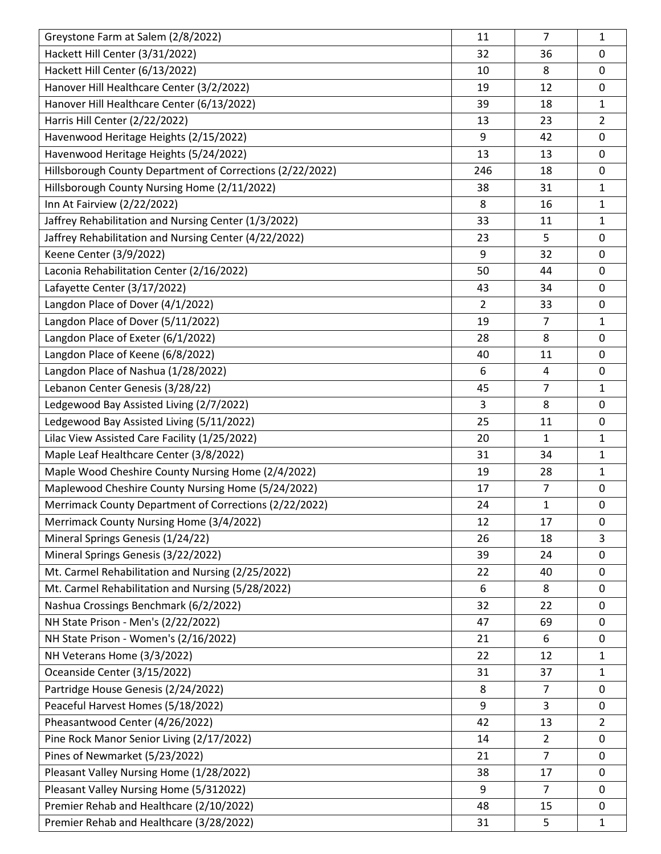| Greystone Farm at Salem (2/8/2022)                        | 11             | 7              | 1              |
|-----------------------------------------------------------|----------------|----------------|----------------|
| Hackett Hill Center (3/31/2022)                           | 32             | 36             | 0              |
| Hackett Hill Center (6/13/2022)                           | 10             | 8              | 0              |
| Hanover Hill Healthcare Center (3/2/2022)                 | 19             | 12             | 0              |
| Hanover Hill Healthcare Center (6/13/2022)                | 39             | 18             | $\mathbf{1}$   |
| Harris Hill Center (2/22/2022)                            | 13             | 23             | $\overline{2}$ |
| Havenwood Heritage Heights (2/15/2022)                    | 9              | 42             | 0              |
| Havenwood Heritage Heights (5/24/2022)                    | 13             | 13             | 0              |
| Hillsborough County Department of Corrections (2/22/2022) | 246            | 18             | 0              |
| Hillsborough County Nursing Home (2/11/2022)              | 38             | 31             | $\mathbf{1}$   |
| Inn At Fairview (2/22/2022)                               | 8              | 16             | $\mathbf{1}$   |
| Jaffrey Rehabilitation and Nursing Center (1/3/2022)      | 33             | 11             | $\mathbf{1}$   |
| Jaffrey Rehabilitation and Nursing Center (4/22/2022)     | 23             | 5              | 0              |
| Keene Center (3/9/2022)                                   | 9              | 32             | 0              |
| Laconia Rehabilitation Center (2/16/2022)                 | 50             | 44             | 0              |
| Lafayette Center (3/17/2022)                              | 43             | 34             | 0              |
| Langdon Place of Dover (4/1/2022)                         | $\overline{2}$ | 33             | 0              |
| Langdon Place of Dover (5/11/2022)                        | 19             | $\overline{7}$ | $\mathbf{1}$   |
| Langdon Place of Exeter (6/1/2022)                        | 28             | 8              | 0              |
| Langdon Place of Keene (6/8/2022)                         | 40             | 11             | 0              |
| Langdon Place of Nashua (1/28/2022)                       | 6              | 4              | 0              |
| Lebanon Center Genesis (3/28/22)                          | 45             | $\overline{7}$ | $\mathbf{1}$   |
| Ledgewood Bay Assisted Living (2/7/2022)                  | 3              | 8              | 0              |
| Ledgewood Bay Assisted Living (5/11/2022)                 | 25             | 11             | 0              |
| Lilac View Assisted Care Facility (1/25/2022)             | 20             | 1              | 1              |
| Maple Leaf Healthcare Center (3/8/2022)                   | 31             | 34             | $\mathbf{1}$   |
| Maple Wood Cheshire County Nursing Home (2/4/2022)        | 19             | 28             | $\mathbf{1}$   |
| Maplewood Cheshire County Nursing Home (5/24/2022)        | 17             | 7              | 0              |
| Merrimack County Department of Corrections (2/22/2022)    | 24             | $\mathbf{1}$   | 0              |
| Merrimack County Nursing Home (3/4/2022)                  | 12             | 17             | 0              |
| Mineral Springs Genesis (1/24/22)                         | 26             | 18             | 3              |
| Mineral Springs Genesis (3/22/2022)                       | 39             | 24             | 0              |
| Mt. Carmel Rehabilitation and Nursing (2/25/2022)         | 22             | 40             | 0              |
| Mt. Carmel Rehabilitation and Nursing (5/28/2022)         | 6              | 8              | 0              |
| Nashua Crossings Benchmark (6/2/2022)                     | 32             | 22             | 0              |
| NH State Prison - Men's (2/22/2022)                       | 47             | 69             | 0              |
| NH State Prison - Women's (2/16/2022)                     | 21             | 6              | 0              |
| NH Veterans Home (3/3/2022)                               | 22             | 12             | $\mathbf{1}$   |
| Oceanside Center (3/15/2022)                              | 31             | 37             | $\mathbf{1}$   |
| Partridge House Genesis (2/24/2022)                       | 8              | 7              | 0              |
| Peaceful Harvest Homes (5/18/2022)                        | 9              | 3              | 0              |
| Pheasantwood Center (4/26/2022)                           | 42             | 13             | $\overline{2}$ |
| Pine Rock Manor Senior Living (2/17/2022)                 | 14             | $\overline{2}$ | 0              |
| Pines of Newmarket (5/23/2022)                            | 21             | $\overline{7}$ | 0              |
| Pleasant Valley Nursing Home (1/28/2022)                  | 38             | 17             | 0              |
| Pleasant Valley Nursing Home (5/312022)                   | 9              | $\overline{7}$ | 0              |
| Premier Rehab and Healthcare (2/10/2022)                  | 48             | 15             | 0              |
| Premier Rehab and Healthcare (3/28/2022)                  | 31             | 5              | $\mathbf{1}$   |